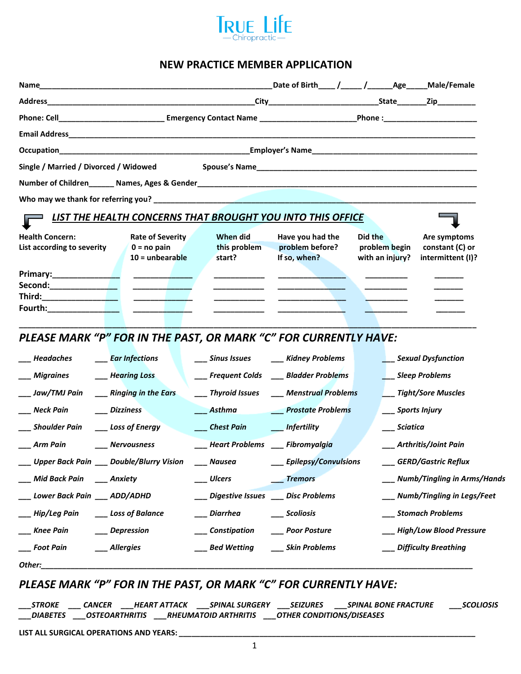

#### **NEW PRACTICE MEMBER APPLICATION**

| Phone: Cell________________________________Emergency Contact Name __________________________________Phone :____________________________ |                                                                      |                                     |                                                                   |                                             |                                                      |  |
|-----------------------------------------------------------------------------------------------------------------------------------------|----------------------------------------------------------------------|-------------------------------------|-------------------------------------------------------------------|---------------------------------------------|------------------------------------------------------|--|
|                                                                                                                                         |                                                                      |                                     |                                                                   |                                             |                                                      |  |
|                                                                                                                                         |                                                                      |                                     |                                                                   |                                             |                                                      |  |
| Single / Married / Divorced / Widowed                                                                                                   |                                                                      |                                     |                                                                   |                                             |                                                      |  |
|                                                                                                                                         |                                                                      |                                     |                                                                   |                                             |                                                      |  |
|                                                                                                                                         |                                                                      |                                     |                                                                   |                                             |                                                      |  |
|                                                                                                                                         |                                                                      |                                     | <b>LIST THE HEALTH CONCERNS THAT BROUGHT YOU INTO THIS OFFICE</b> |                                             |                                                      |  |
| <b>Health Concern:</b><br>Rate of Severity<br>List according to severity<br>$0 = no$ pain<br>$10 =$ unbearable                          |                                                                      | When did<br>this problem<br>start?  | Have you had the<br>problem before?<br>If so, when?               | Did the<br>problem begin<br>with an injury? | Are symptoms<br>constant (C) or<br>intermittent (I)? |  |
| Third:___________________<br><b>Fourth:_____________________</b>                                                                        | <u> The Common State Common Sta</u><br>the control of the control of |                                     |                                                                   |                                             |                                                      |  |
| PLEASE MARK "P" FOR IN THE PAST, OR MARK "C" FOR CURRENTLY HAVE:                                                                        |                                                                      |                                     |                                                                   |                                             |                                                      |  |
|                                                                                                                                         | <b>Ear Infections</b>                                                |                                     | Sinus Issues _____ Kidney Problems                                |                                             | ___ Sexual Dysfunction                               |  |
| _ Migraines                                                                                                                             | <b>Hearing Loss</b>                                                  |                                     | ___ Frequent Colds ____ Bladder Problems                          |                                             | Sleep Problems                                       |  |
| Jaw/TMJ Pain                                                                                                                            | ___ Ringing in the Ears                                              |                                     | ___ Thyroid Issues ___ Menstrual Problems                         |                                             | __ Tight/Sore Muscles                                |  |
| ___ Neck Pain                                                                                                                           | <b>Dizziness</b>                                                     | $A$ sthma                           | <b>Prostate Problems</b>                                          | __ Sports Injury                            |                                                      |  |
| Shoulder Pain                                                                                                                           | Loss of Energy                                                       | Chest Pain <b>Infertility</b>       |                                                                   | Sciatica                                    |                                                      |  |
| Arm Pain                                                                                                                                | Nervousness                                                          | <b>Heart Problems</b> Fibromyalgia  |                                                                   |                                             | Arthritis/Joint Pain                                 |  |
| ___ Upper Back Pain ___ Double/Blurry Vision                                                                                            |                                                                      | __ Nausea                           | <b>Epilepsy/Convulsions</b>                                       |                                             | ___ GERD/Gastric Reflux                              |  |
| ___ Mid Back Pain ____ Anxiety                                                                                                          |                                                                      | __ Ulcers                           | <b>Tremors</b>                                                    |                                             | Numb/Tingling in Arms/Hands                          |  |
| __ Lower Back Pain ___ ADD/ADHD                                                                                                         |                                                                      | Digestive Issues ____ Disc Problems |                                                                   |                                             | Numb/Tingling in Legs/Feet                           |  |
| Hip/Leg Pain                                                                                                                            | Loss of Balance                                                      | __ Diarrhea                         | __ Scoliosis                                                      |                                             | __ Stomach Problems                                  |  |
| _ Knee Pain                                                                                                                             | Depression                                                           | ___ Constipation                    | ____ Poor Posture                                                 |                                             | __ High/Low Blood Pressure                           |  |
| Foot Pain                                                                                                                               | ___ Allergies                                                        | ___ Bed Wetting                     | __ Skin Problems                                                  |                                             | __ Difficulty Breathing                              |  |
| Other:                                                                                                                                  |                                                                      |                                     |                                                                   |                                             |                                                      |  |

## *PLEASE MARK "P" FOR IN THE PAST, OR MARK "C" FOR CURRENTLY HAVE:*

*\_\_\_STROKE \_\_\_ CANCER \_\_\_HEART ATTACK \_\_\_SPINAL SURGERY \_\_\_SEIZURES \_\_\_SPINAL BONE FRACTURE \_\_\_SCOLIOSIS \_\_\_DIABETES \_\_\_OSTEOARTHRITIS \_\_\_RHEUMATOID ARTHRITIS \_\_\_OTHER CONDITIONS/DISEASES*

**LIST ALL SURGICAL OPERATIONS AND YEARS:** *\_\_\_\_\_\_\_\_\_\_\_\_\_\_\_\_\_\_\_\_\_\_\_\_\_\_\_\_\_\_\_\_\_\_\_\_\_\_\_\_\_\_\_\_\_\_\_\_\_\_\_\_\_\_\_\_\_\_\_\_\_\_\_\_\_\_\_\_\_\_*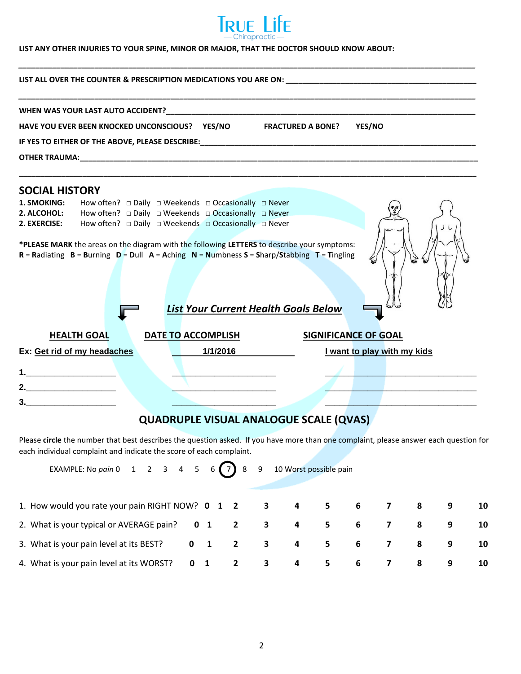

*\_\_\_\_\_\_\_\_\_\_\_\_\_\_\_\_\_\_\_\_\_\_\_\_\_\_\_\_\_\_\_\_\_\_\_\_\_\_\_\_\_\_\_\_\_\_\_\_\_\_\_\_\_\_\_\_\_\_\_\_\_\_\_\_\_\_\_\_\_\_\_\_\_\_\_\_\_\_\_\_\_\_\_\_\_\_\_\_\_\_\_\_\_\_\_\_\_\_\_\_\_\_\_\_\_\_\_\_*

#### **LIST ANY OTHER INJURIES TO YOUR SPINE, MINOR OR MAJOR, THAT THE DOCTOR SHOULD KNOW ABOUT:**

| HAVE YOU EVER BEEN KNOCKED UNCONSCIOUS? YES/NO<br>YES/NO<br><b>FRACTURED A BONE?</b>                                                                                                                                                               |  |  |  |  |  |  |  |  |
|----------------------------------------------------------------------------------------------------------------------------------------------------------------------------------------------------------------------------------------------------|--|--|--|--|--|--|--|--|
|                                                                                                                                                                                                                                                    |  |  |  |  |  |  |  |  |
| OTHER TRAUMA: WE ARREST A STATE AND THE RESIDENCE AND THE RESIDENCE AND THE RESIDENCE AND THE RESIDENCE AND THE RESIDENCE AND THE RESIDENCE AND THE RESIDENCE AND THE RESIDENCE AND THE RESIDENCE AND THE RESIDENCE AND THE RE                     |  |  |  |  |  |  |  |  |
|                                                                                                                                                                                                                                                    |  |  |  |  |  |  |  |  |
| <b>SOCIAL HISTORY</b>                                                                                                                                                                                                                              |  |  |  |  |  |  |  |  |
| 1. SMOKING:<br>How often? $\Box$ Daily $\Box$ Weekends $\Box$ Occasionally $\Box$ Never                                                                                                                                                            |  |  |  |  |  |  |  |  |
| How often? $\Box$ Daily $\Box$ Weekends $\Box$ Occasionally $\Box$ Never<br>2. ALCOHOL:                                                                                                                                                            |  |  |  |  |  |  |  |  |
| How often? $\Box$ Daily $\Box$ Weekends $\Box$ Occasionally $\Box$ Never<br>2. EXERCISE:                                                                                                                                                           |  |  |  |  |  |  |  |  |
| *PLEASE MARK the areas on the diagram with the following LETTERS to describe your symptoms:<br>$R =$ Radiating $B =$ Burning $D =$ Dull $A =$ Aching $N =$ Numbness S = Sharp/Stabbing T = Tingling<br><b>List Your Current Health Goals Below</b> |  |  |  |  |  |  |  |  |
| <b>SIGNIFICANCE OF GOAL</b><br><b>HEALTH GOAL</b><br>DATE TO ACCOMPLISH                                                                                                                                                                            |  |  |  |  |  |  |  |  |
| 1/1/2016<br>Ex: Get rid of my headaches<br>I want to play with my kids                                                                                                                                                                             |  |  |  |  |  |  |  |  |
|                                                                                                                                                                                                                                                    |  |  |  |  |  |  |  |  |
|                                                                                                                                                                                                                                                    |  |  |  |  |  |  |  |  |
|                                                                                                                                                                                                                                                    |  |  |  |  |  |  |  |  |
| $3.$ $\qquad \qquad$                                                                                                                                                                                                                               |  |  |  |  |  |  |  |  |

## **QUADRUPLE VISUAL ANALOGUE SCALE (QVAS)**

Please **circle** the number that best describes the question asked. If you have more than one complaint, please answer each question for each individual complaint and indicate the score of each complaint.

| EXAMPLE: No pain 0 $1 \quad 2 \quad 3 \quad 4 \quad 5 \quad 6 \quad \boxed{7}$ 8 $9 \quad 10$ Worst possible pain |  |  |  |     |                |                         |   |    |
|-------------------------------------------------------------------------------------------------------------------|--|--|--|-----|----------------|-------------------------|---|----|
| 1. How would you rate your pain RIGHT NOW? 0 1 2 3 4 5 6 7 8                                                      |  |  |  |     |                |                         | 9 | 10 |
| 2. What is your typical or AVERAGE pain? 0 1 2 3 4 5 6 7 8                                                        |  |  |  |     |                |                         | 9 | 10 |
| 3. What is your pain level at its BEST? 0 1 2 3 4 5 6 7                                                           |  |  |  |     |                | $\overline{\mathbf{8}}$ | 9 | 10 |
| 4. What is your pain level at its WORST? 0 1 2 3 4                                                                |  |  |  | 5 6 | $\overline{7}$ | 8                       | 9 | 10 |